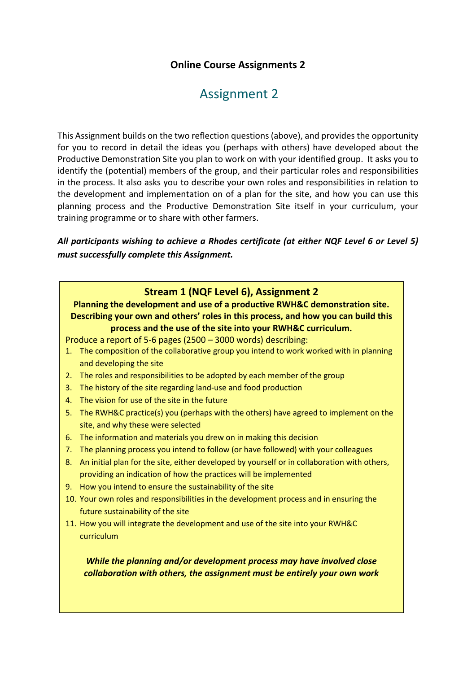## **Online Course Assignments 2**

# Assignment 2

This Assignment builds on the two reflection questions (above), and provides the opportunity for you to record in detail the ideas you (perhaps with others) have developed about the Productive Demonstration Site you plan to work on with your identified group. It asks you to identify the (potential) members of the group, and their particular roles and responsibilities in the process. It also asks you to describe your own roles and responsibilities in relation to the development and implementation on of a plan for the site, and how you can use this planning process and the Productive Demonstration Site itself in your curriculum, your training programme or to share with other farmers.

*All participants wishing to achieve a Rhodes certificate (at either NQF Level 6 or Level 5) must successfully complete this Assignment.*

#### **Stream 1 (NQF Level 6), Assignment 2**

**Planning the development and use of a productive RWH&C demonstration site. Describing your own and others' roles in this process, and how you can build this process and the use of the site into your RWH&C curriculum.**

Produce a report of 5-6 pages (2500 – 3000 words) describing:

- 1. The composition of the collaborative group you intend to work worked with in planning and developing the site
- 2. The roles and responsibilities to be adopted by each member of the group
- 3. The history of the site regarding land-use and food production
- 4. The vision for use of the site in the future
- 5. The RWH&C practice(s) you (perhaps with the others) have agreed to implement on the site, and why these were selected
- 6. The information and materials you drew on in making this decision
- 7. The planning process you intend to follow (or have followed) with your colleagues
- 8. An initial plan for the site, either developed by yourself or in collaboration with others, providing an indication of how the practices will be implemented
- 9. How you intend to ensure the sustainability of the site
- 10. Your own roles and responsibilities in the development process and in ensuring the future sustainability of the site
- 11. How you will integrate the development and use of the site into your RWH&C curriculum

*While the planning and/or development process may have involved close collaboration with others, the assignment must be entirely your own work*